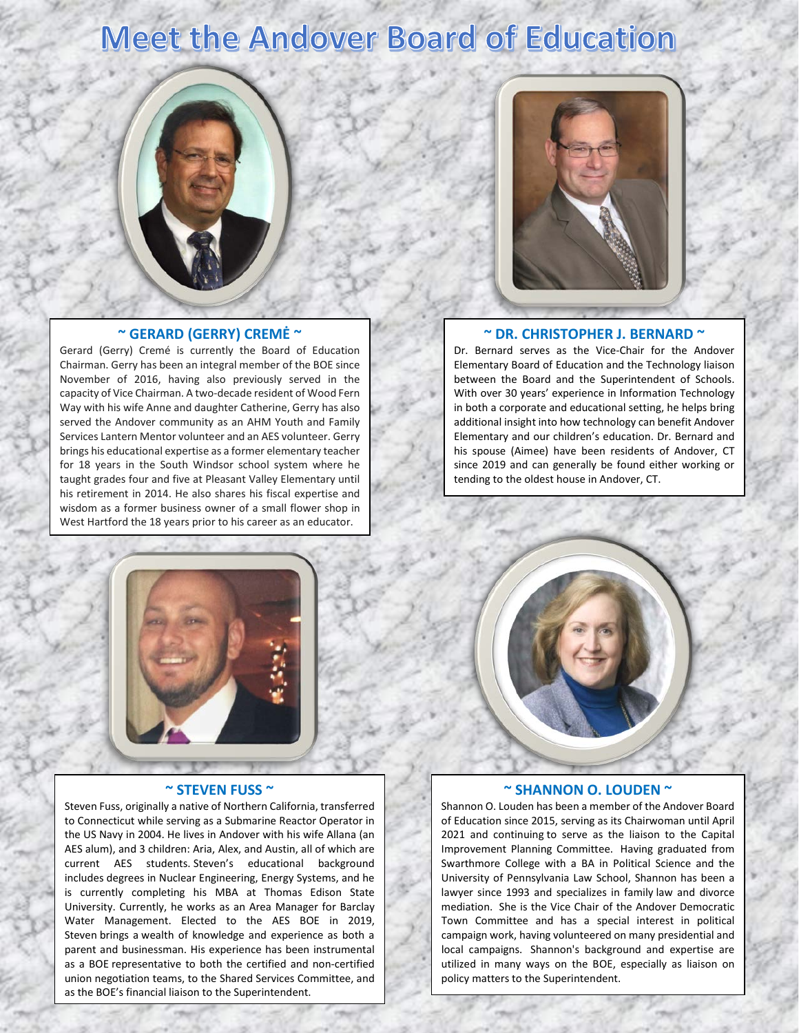# **Meet the Andover Board of Education**

### **~ GERARD (GERRY) CREMĖ ~**

Gerard (Gerry) Cremé is currently the Board of Education Chairman. Gerry has been an integral member of the BOE since November of 2016, having also previously served in the capacity of Vice Chairman. A two-decade resident of Wood Fern Way with his wife Anne and daughter Catherine, Gerry has also served the Andover community as an AHM Youth and Family Services Lantern Mentor volunteer and an AES volunteer. Gerry brings his educational expertise as a former elementary teacher for 18 years in the South Windsor school system where he taught grades four and five at Pleasant Valley Elementary until his retirement in 2014. He also shares his fiscal expertise and wisdom as a former business owner of a small flower shop in West Hartford the 18 years prior to his career as an educator.



#### **~ DR. CHRISTOPHER J. BERNARD ~**

Dr. Bernard serves as the Vice-Chair for the Andover Elementary Board of Education and the Technology liaison between the Board and the Superintendent of Schools. With over 30 years' experience in Information Technology in both a corporate and educational setting, he helps bring additional insight into how technology can benefit Andover Elementary and our children's education. Dr. Bernard and his spouse (Aimee) have been residents of Andover, CT since 2019 and can generally be found either working or tending to the oldest house in Andover, CT.



### **~ STEVEN FUSS ~**

Steven Fuss, originally a native of Northern California, transferred to Connecticut while serving as a Submarine Reactor Operator in the US Navy in 2004. He lives in Andover with his wife Allana (an AES alum), and 3 children: Aria, Alex, and Austin, all of which are current AES students. Steven's educational background includes degrees in Nuclear Engineering, Energy Systems, and he is currently completing his MBA at Thomas Edison State University. Currently, he works as an Area Manager for Barclay Water Management. Elected to the AES BOE in 2019, Steven brings a wealth of knowledge and experience as both a parent and businessman. His experience has been instrumental as a BOE representative to both the certified and non-certified union negotiation teams, to the Shared Services Committee, and as the BOE's financial liaison to the Superintendent.



#### **~ SHANNON O. LOUDEN ~**

Shannon O. Louden has been a member of the Andover Board of Education since 2015, serving as its Chairwoman until April 2021 and continuing to serve as the liaison to the Capital Improvement Planning Committee. Having graduated from Swarthmore College with a BA in Political Science and the University of Pennsylvania Law School, Shannon has been a lawyer since 1993 and specializes in family law and divorce mediation. She is the Vice Chair of the Andover Democratic Town Committee and has a special interest in political campaign work, having volunteered on many presidential and local campaigns. Shannon's background and expertise are utilized in many ways on the BOE, especially as liaison on policy matters to the Superintendent.